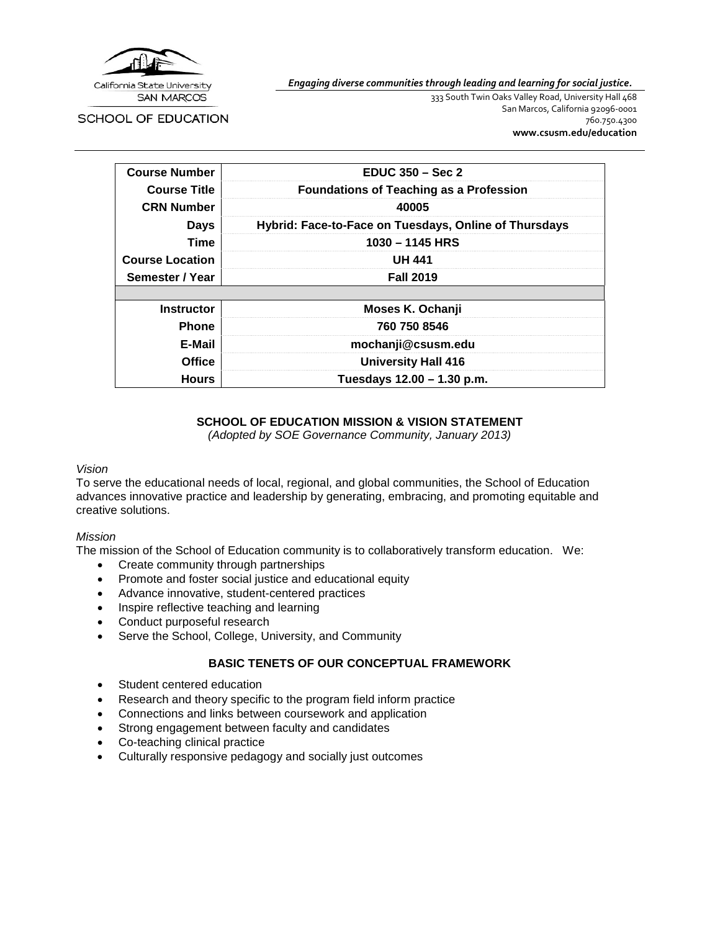

*Engaging diverse communities through leading and learning for social justice.*

SCHOOL OF EDUCATION

333 South Twin Oaks Valley Road, University Hall 468 San Marcos, California 92096-0001 760.750.4300 **[www.csusm.edu/education](http://www.csusm.edu/education)**

| <b>Course Number</b>   | $EDUC 350 - Sec 2$                                    |  |
|------------------------|-------------------------------------------------------|--|
| <b>Course Title</b>    | <b>Foundations of Teaching as a Profession</b>        |  |
| <b>CRN Number</b>      | 40005                                                 |  |
| <b>Days</b>            | Hybrid: Face-to-Face on Tuesdays, Online of Thursdays |  |
| <b>Time</b>            | $1030 - 1145$ HRS                                     |  |
| <b>Course Location</b> | <b>UH 441</b>                                         |  |
| Semester / Year        | <b>Fall 2019</b>                                      |  |
|                        |                                                       |  |
| <b>Instructor</b>      | Moses K. Ochanji                                      |  |
| <b>Phone</b>           | 760 750 8546                                          |  |
| E-Mail                 | mochanji@csusm.edu                                    |  |
| <b>Office</b>          | <b>University Hall 416</b>                            |  |
| <b>Hours</b>           | Tuesdays 12.00 – 1.30 p.m.                            |  |

# **SCHOOL OF EDUCATION MISSION & VISION STATEMENT**

*(Adopted by SOE Governance Community, January 2013)*

#### *Vision*

To serve the educational needs of local, regional, and global communities, the School of Education advances innovative practice and leadership by generating, embracing, and promoting equitable and creative solutions.

#### *Mission*

The mission of the School of Education community is to collaboratively transform education. We:

- Create community through partnerships
- Promote and foster social justice and educational equity
- Advance innovative, student-centered practices
- Inspire reflective teaching and learning
- Conduct purposeful research
- Serve the School, College, University, and Community

# **BASIC TENETS OF OUR CONCEPTUAL FRAMEWORK**

- Student centered education
- Research and theory specific to the program field inform practice
- Connections and links between coursework and application
- Strong engagement between faculty and candidates
- Co-teaching clinical practice
- Culturally responsive pedagogy and socially just outcomes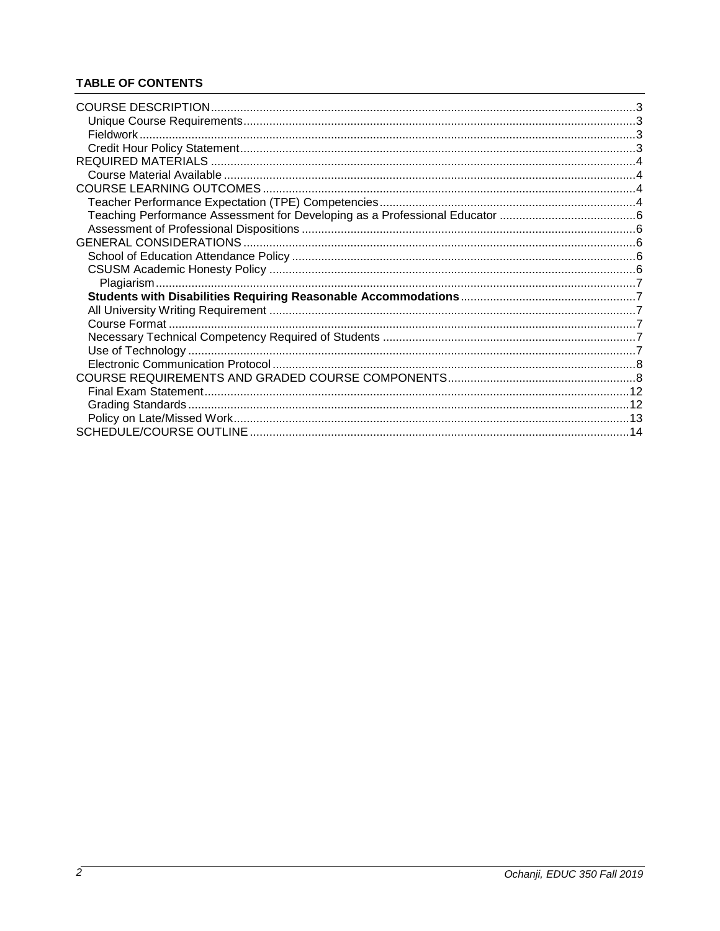# **TABLE OF CONTENTS**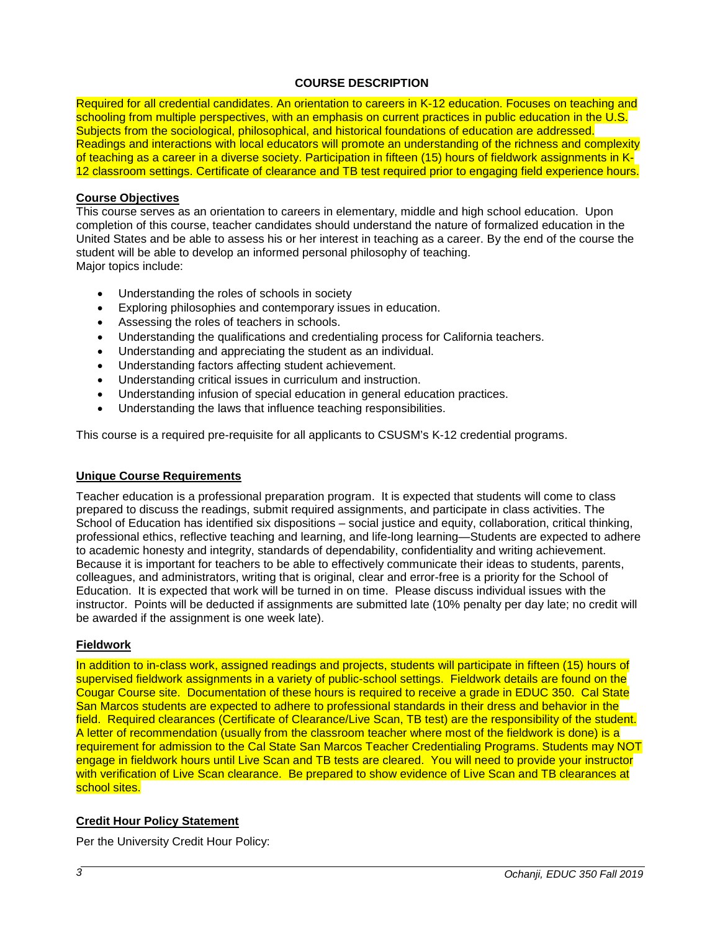# **COURSE DESCRIPTION**

<span id="page-2-0"></span>Required for all credential candidates. An orientation to careers in K-12 education. Focuses on teaching and schooling from multiple perspectives, with an emphasis on current practices in public education in the U.S. Subjects from the sociological, philosophical, and historical foundations of education are addressed. Readings and interactions with local educators will promote an understanding of the richness and complexity of teaching as a career in a diverse society. Participation in fifteen (15) hours of fieldwork assignments in K-12 classroom settings. Certificate of clearance and TB test required prior to engaging field experience hours.

## **Course Objectives**

This course serves as an orientation to careers in elementary, middle and high school education. Upon completion of this course, teacher candidates should understand the nature of formalized education in the United States and be able to assess his or her interest in teaching as a career. By the end of the course the student will be able to develop an informed personal philosophy of teaching. Major topics include:

- Understanding the roles of schools in society
- Exploring philosophies and contemporary issues in education.
- Assessing the roles of teachers in schools.
- Understanding the qualifications and credentialing process for California teachers.
- Understanding and appreciating the student as an individual.
- Understanding factors affecting student achievement.
- Understanding critical issues in curriculum and instruction.
- Understanding infusion of special education in general education practices.
- Understanding the laws that influence teaching responsibilities.

This course is a required pre-requisite for all applicants to CSUSM's K-12 credential programs.

#### <span id="page-2-1"></span>**Unique Course Requirements**

Teacher education is a professional preparation program. It is expected that students will come to class prepared to discuss the readings, submit required assignments, and participate in class activities. The School of Education has identified six dispositions – social justice and equity, collaboration, critical thinking, professional ethics, reflective teaching and learning, and life-long learning—Students are expected to adhere to academic honesty and integrity, standards of dependability, confidentiality and writing achievement. Because it is important for teachers to be able to effectively communicate their ideas to students, parents, colleagues, and administrators, writing that is original, clear and error-free is a priority for the School of Education. It is expected that work will be turned in on time. Please discuss individual issues with the instructor. Points will be deducted if assignments are submitted late (10% penalty per day late; no credit will be awarded if the assignment is one week late).

#### <span id="page-2-2"></span>**Fieldwork**

In addition to in-class work, assigned readings and projects, students will participate in fifteen (15) hours of supervised fieldwork assignments in a variety of public-school settings. Fieldwork details are found on the Cougar Course site. Documentation of these hours is required to receive a grade in EDUC 350. Cal State San Marcos students are expected to adhere to professional standards in their dress and behavior in the field. Required clearances (Certificate of Clearance/Live Scan, TB test) are the responsibility of the student. A letter of recommendation (usually from the classroom teacher where most of the fieldwork is done) is a requirement for admission to the Cal State San Marcos Teacher Credentialing Programs. Students may NOT engage in fieldwork hours until Live Scan and TB tests are cleared. You will need to provide your instructor with verification of Live Scan clearance. Be prepared to show evidence of Live Scan and TB clearances at school sites.

# <span id="page-2-3"></span>**Credit Hour Policy Statement**

Per the University Credit Hour Policy: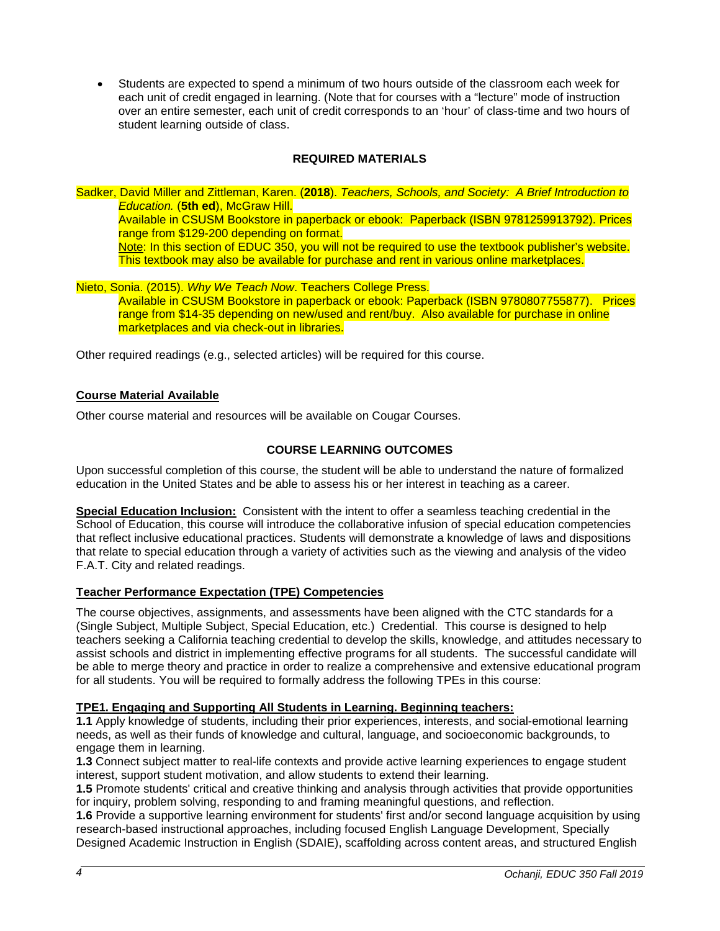• Students are expected to spend a minimum of two hours outside of the classroom each week for each unit of credit engaged in learning. (Note that for courses with a "lecture" mode of instruction over an entire semester, each unit of credit corresponds to an 'hour' of class-time and two hours of student learning outside of class.

# **REQUIRED MATERIALS**

<span id="page-3-0"></span>Sadker, David Miller and Zittleman, Karen. (**2018**). *Teachers, Schools, and Society: A Brief Introduction to Education.* (**5th ed**), McGraw Hill. Available in CSUSM Bookstore in paperback or ebook: Paperback (ISBN 9781259913792). Prices range from \$129-200 depending on format. Note: In this section of EDUC 350, you will not be required to use the textbook publisher's website. This textbook may also be available for purchase and rent in various online marketplaces.

Nieto, Sonia. (2015). *Why We Teach Now*. Teachers College Press. Available in CSUSM Bookstore in paperback or ebook: Paperback (ISBN 9780807755877). Prices range from \$14-35 depending on new/used and rent/buy. Also available for purchase in online marketplaces and via check-out in libraries.

Other required readings (e.g., selected articles) will be required for this course.

# <span id="page-3-1"></span>**Course Material Available**

<span id="page-3-2"></span>Other course material and resources will be available on Cougar Courses.

## **COURSE LEARNING OUTCOMES**

Upon successful completion of this course, the student will be able to understand the nature of formalized education in the United States and be able to assess his or her interest in teaching as a career.

**Special Education Inclusion:** Consistent with the intent to offer a seamless teaching credential in the School of Education, this course will introduce the collaborative infusion of special education competencies that reflect inclusive educational practices. Students will demonstrate a knowledge of laws and dispositions that relate to special education through a variety of activities such as the viewing and analysis of the video F.A.T. City and related readings.

#### <span id="page-3-3"></span>**Teacher Performance Expectation (TPE) Competencies**

The course objectives, assignments, and assessments have been aligned with the CTC standards for a (Single Subject, Multiple Subject, Special Education, etc.) Credential. This course is designed to help teachers seeking a California teaching credential to develop the skills, knowledge, and attitudes necessary to assist schools and district in implementing effective programs for all students. The successful candidate will be able to merge theory and practice in order to realize a comprehensive and extensive educational program for all students. You will be required to formally address the following TPEs in this course:

## **TPE1. Engaging and Supporting All Students in Learning. Beginning teachers:**

**1.1** Apply knowledge of students, including their prior experiences, interests, and social-emotional learning needs, as well as their funds of knowledge and cultural, language, and socioeconomic backgrounds, to engage them in learning.

**1.3** Connect subject matter to real-life contexts and provide active learning experiences to engage student interest, support student motivation, and allow students to extend their learning.

**1.5** Promote students' critical and creative thinking and analysis through activities that provide opportunities for inquiry, problem solving, responding to and framing meaningful questions, and reflection.

**1.6** Provide a supportive learning environment for students' first and/or second language acquisition by using research-based instructional approaches, including focused English Language Development, Specially Designed Academic Instruction in English (SDAIE), scaffolding across content areas, and structured English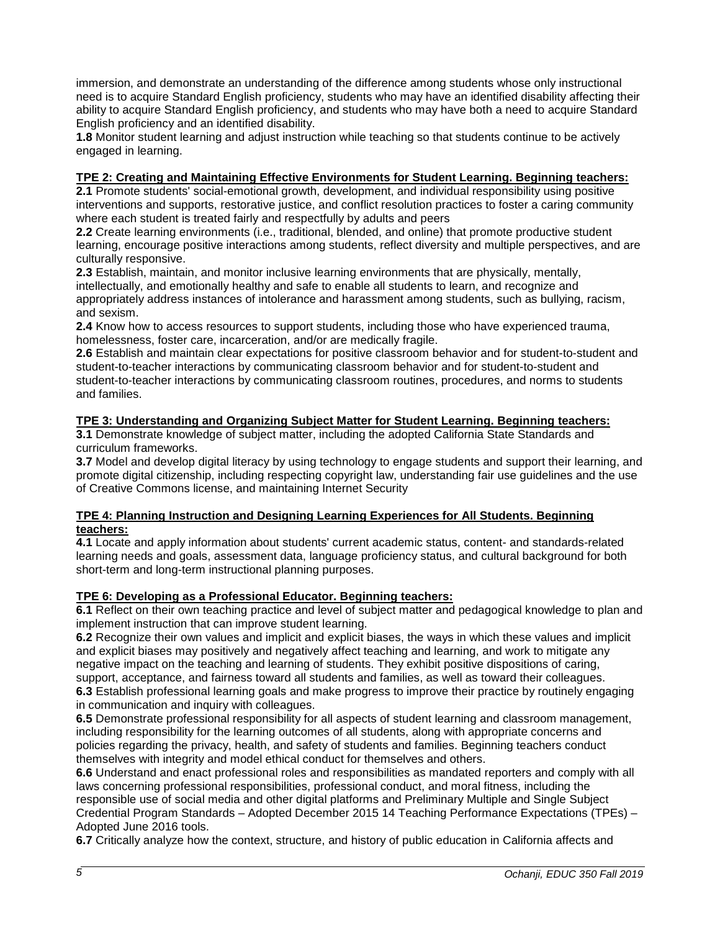immersion, and demonstrate an understanding of the difference among students whose only instructional need is to acquire Standard English proficiency, students who may have an identified disability affecting their ability to acquire Standard English proficiency, and students who may have both a need to acquire Standard English proficiency and an identified disability.

**1.8** Monitor student learning and adjust instruction while teaching so that students continue to be actively engaged in learning.

# **TPE 2: Creating and Maintaining Effective Environments for Student Learning. Beginning teachers:**

**2.1** Promote students' social-emotional growth, development, and individual responsibility using positive interventions and supports, restorative justice, and conflict resolution practices to foster a caring community where each student is treated fairly and respectfully by adults and peers

**2.2** Create learning environments (i.e., traditional, blended, and online) that promote productive student learning, encourage positive interactions among students, reflect diversity and multiple perspectives, and are culturally responsive.

**2.3** Establish, maintain, and monitor inclusive learning environments that are physically, mentally, intellectually, and emotionally healthy and safe to enable all students to learn, and recognize and appropriately address instances of intolerance and harassment among students, such as bullying, racism, and sexism.

**2.4** Know how to access resources to support students, including those who have experienced trauma, homelessness, foster care, incarceration, and/or are medically fragile.

**2.6** Establish and maintain clear expectations for positive classroom behavior and for student-to-student and student-to-teacher interactions by communicating classroom behavior and for student-to-student and student-to-teacher interactions by communicating classroom routines, procedures, and norms to students and families.

# **TPE 3: Understanding and Organizing Subject Matter for Student Learning. Beginning teachers:**

**3.1** Demonstrate knowledge of subject matter, including the adopted California State Standards and curriculum frameworks.

**3.7** Model and develop digital literacy by using technology to engage students and support their learning, and promote digital citizenship, including respecting copyright law, understanding fair use guidelines and the use of Creative Commons license, and maintaining Internet Security

## **TPE 4: Planning Instruction and Designing Learning Experiences for All Students. Beginning teachers:**

**4.1** Locate and apply information about students' current academic status, content- and standards-related learning needs and goals, assessment data, language proficiency status, and cultural background for both short-term and long-term instructional planning purposes.

# **TPE 6: Developing as a Professional Educator. Beginning teachers:**

**6.1** Reflect on their own teaching practice and level of subject matter and pedagogical knowledge to plan and implement instruction that can improve student learning.

**6.2** Recognize their own values and implicit and explicit biases, the ways in which these values and implicit and explicit biases may positively and negatively affect teaching and learning, and work to mitigate any negative impact on the teaching and learning of students. They exhibit positive dispositions of caring, support, acceptance, and fairness toward all students and families, as well as toward their colleagues.

**6.3** Establish professional learning goals and make progress to improve their practice by routinely engaging in communication and inquiry with colleagues.

**6.5** Demonstrate professional responsibility for all aspects of student learning and classroom management, including responsibility for the learning outcomes of all students, along with appropriate concerns and policies regarding the privacy, health, and safety of students and families. Beginning teachers conduct themselves with integrity and model ethical conduct for themselves and others.

**6.6** Understand and enact professional roles and responsibilities as mandated reporters and comply with all laws concerning professional responsibilities, professional conduct, and moral fitness, including the responsible use of social media and other digital platforms and Preliminary Multiple and Single Subject Credential Program Standards – Adopted December 2015 14 Teaching Performance Expectations (TPEs) – Adopted June 2016 tools.

**6.7** Critically analyze how the context, structure, and history of public education in California affects and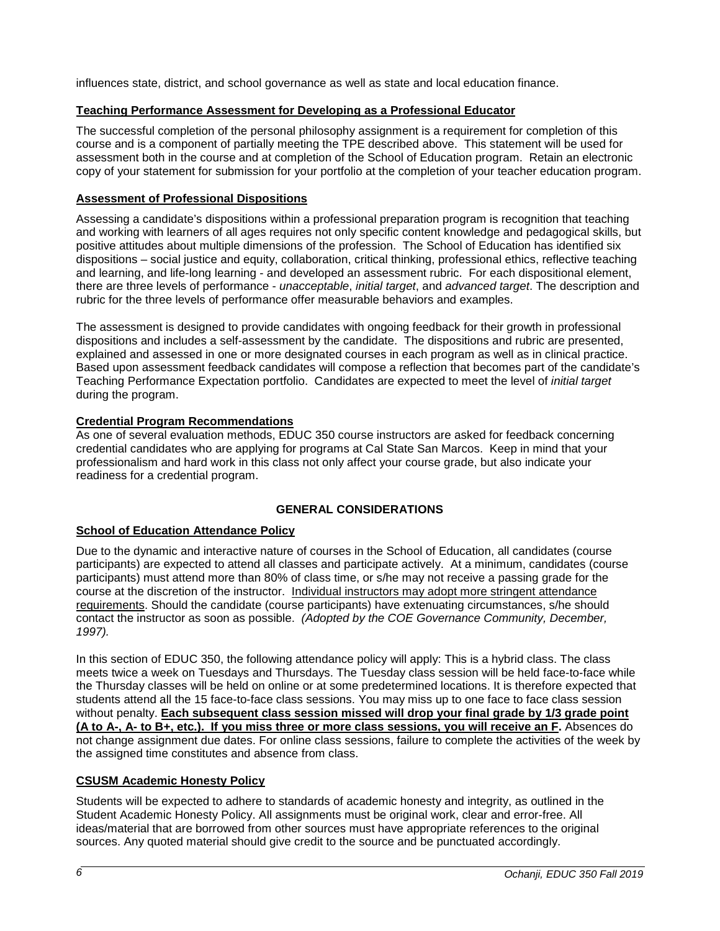influences state, district, and school governance as well as state and local education finance.

# <span id="page-5-0"></span>**Teaching Performance Assessment for Developing as a Professional Educator**

The successful completion of the personal philosophy assignment is a requirement for completion of this course and is a component of partially meeting the TPE described above. This statement will be used for assessment both in the course and at completion of the School of Education program. Retain an electronic copy of your statement for submission for your portfolio at the completion of your teacher education program.

# <span id="page-5-1"></span>**Assessment of Professional Dispositions**

Assessing a candidate's dispositions within a professional preparation program is recognition that teaching and working with learners of all ages requires not only specific content knowledge and pedagogical skills, but positive attitudes about multiple dimensions of the profession. The School of Education has identified six dispositions – social justice and equity, collaboration, critical thinking, professional ethics, reflective teaching and learning, and life-long learning - and developed an assessment rubric. For each dispositional element, there are three levels of performance - *unacceptable*, *initial target*, and *advanced target*. The description and rubric for the three levels of performance offer measurable behaviors and examples.

The assessment is designed to provide candidates with ongoing feedback for their growth in professional dispositions and includes a self-assessment by the candidate. The dispositions and rubric are presented, explained and assessed in one or more designated courses in each program as well as in clinical practice. Based upon assessment feedback candidates will compose a reflection that becomes part of the candidate's Teaching Performance Expectation portfolio. Candidates are expected to meet the level of *initial target* during the program.

# **Credential Program Recommendations**

As one of several evaluation methods, EDUC 350 course instructors are asked for feedback concerning credential candidates who are applying for programs at Cal State San Marcos. Keep in mind that your professionalism and hard work in this class not only affect your course grade, but also indicate your readiness for a credential program.

# **GENERAL CONSIDERATIONS**

# <span id="page-5-3"></span><span id="page-5-2"></span>**School of Education Attendance Policy**

Due to the dynamic and interactive nature of courses in the School of Education, all candidates (course participants) are expected to attend all classes and participate actively. At a minimum, candidates (course participants) must attend more than 80% of class time, or s/he may not receive a passing grade for the course at the discretion of the instructor. Individual instructors may adopt more stringent attendance requirements. Should the candidate (course participants) have extenuating circumstances, s/he should contact the instructor as soon as possible. *(Adopted by the COE Governance Community, December, 1997).*

In this section of EDUC 350, the following attendance policy will apply: This is a hybrid class. The class meets twice a week on Tuesdays and Thursdays. The Tuesday class session will be held face-to-face while the Thursday classes will be held on online or at some predetermined locations. It is therefore expected that students attend all the 15 face-to-face class sessions. You may miss up to one face to face class session without penalty. **Each subsequent class session missed will drop your final grade by 1/3 grade point (A to A-, A- to B+, etc.). If you miss three or more class sessions, you will receive an F.** Absences do not change assignment due dates. For online class sessions, failure to complete the activities of the week by the assigned time constitutes and absence from class.

# <span id="page-5-4"></span>**CSUSM Academic Honesty Policy**

Students will be expected to adhere to standards of academic honesty and integrity, as outlined in the Student Academic Honesty Policy. All assignments must be original work, clear and error-free. All ideas/material that are borrowed from other sources must have appropriate references to the original sources. Any quoted material should give credit to the source and be punctuated accordingly.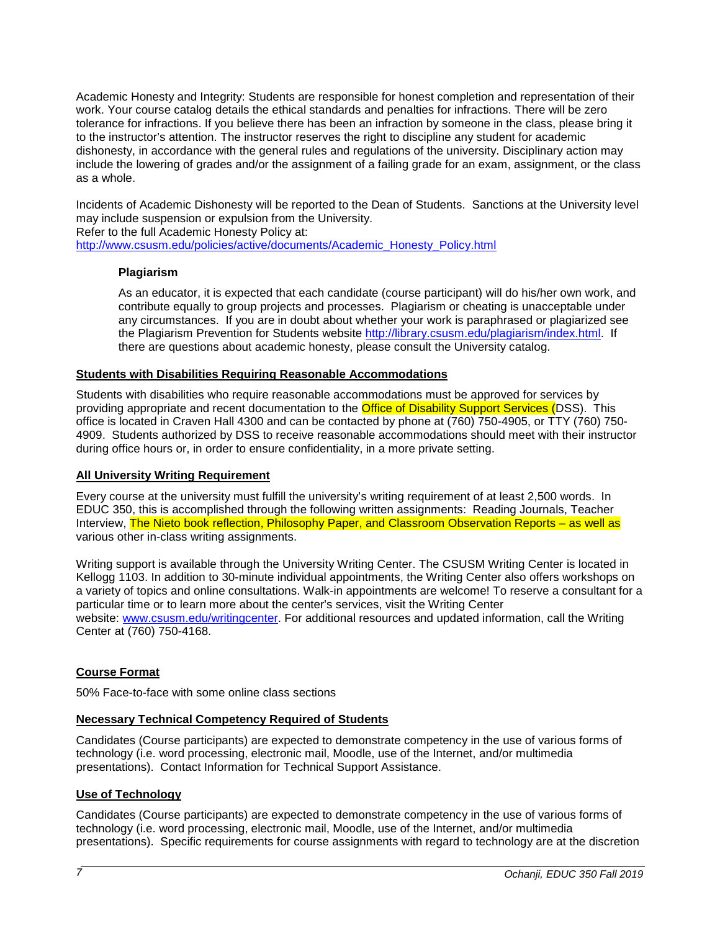Academic Honesty and Integrity: Students are responsible for honest completion and representation of their work. Your course catalog details the ethical standards and penalties for infractions. There will be zero tolerance for infractions. If you believe there has been an infraction by someone in the class, please bring it to the instructor's attention. The instructor reserves the right to discipline any student for academic dishonesty, in accordance with the general rules and regulations of the university. Disciplinary action may include the lowering of grades and/or the assignment of a failing grade for an exam, assignment, or the class as a whole.

Incidents of Academic Dishonesty will be reported to the Dean of Students. Sanctions at the University level may include suspension or expulsion from the University.

Refer to the full Academic Honesty Policy at:

<span id="page-6-0"></span>[http://www.csusm.edu/policies/active/documents/Academic\\_Honesty\\_Policy.html](http://www.csusm.edu/policies/active/documents/Academic_Honesty_Policy.html)

#### **Plagiarism**

As an educator, it is expected that each candidate (course participant) will do his/her own work, and contribute equally to group projects and processes. Plagiarism or cheating is unacceptable under any circumstances. If you are in doubt about whether your work is paraphrased or plagiarized see the Plagiarism Prevention for Students website [http://library.csusm.edu/plagiarism/index.html.](http://library.csusm.edu/plagiarism/index.html) If there are questions about academic honesty, please consult the University catalog.

#### <span id="page-6-1"></span>**Students with Disabilities Requiring Reasonable Accommodations**

Students with disabilities who require reasonable accommodations must be approved for services by providing appropriate and recent documentation to the **Office of Disability Support Services (DSS)**. This office is located in Craven Hall 4300 and can be contacted by phone at (760) 750-4905, or TTY (760) 750- 4909. Students authorized by DSS to receive reasonable accommodations should meet with their instructor during office hours or, in order to ensure confidentiality, in a more private setting.

#### <span id="page-6-2"></span>**All University Writing Requirement**

Every course at the university must fulfill the university's writing requirement of at least 2,500 words. In EDUC 350, this is accomplished through the following written assignments: Reading Journals, Teacher Interview, The Nieto book reflection, Philosophy Paper, and Classroom Observation Reports – as well as various other in-class writing assignments.

Writing support is available through the University Writing Center. The CSUSM Writing Center is located in Kellogg 1103. In addition to 30-minute individual appointments, the Writing Center also offers workshops on a variety of topics and online consultations. Walk-in appointments are welcome! To reserve a consultant for a particular time or to learn more about the center's services, visit the Writing Center website: [www.csusm.edu/writingcenter.](http://www.csusm.edu/writingcenter) For additional resources and updated information, call the Writing Center at (760) 750-4168.

#### <span id="page-6-3"></span>**Course Format**

50% Face-to-face with some online class sections

# <span id="page-6-4"></span>**Necessary Technical Competency Required of Students**

Candidates (Course participants) are expected to demonstrate competency in the use of various forms of technology (i.e. word processing, electronic mail, Moodle, use of the Internet, and/or multimedia presentations). Contact Information for Technical Support Assistance.

#### <span id="page-6-5"></span>**Use of Technology**

Candidates (Course participants) are expected to demonstrate competency in the use of various forms of technology (i.e. word processing, electronic mail, Moodle, use of the Internet, and/or multimedia presentations). Specific requirements for course assignments with regard to technology are at the discretion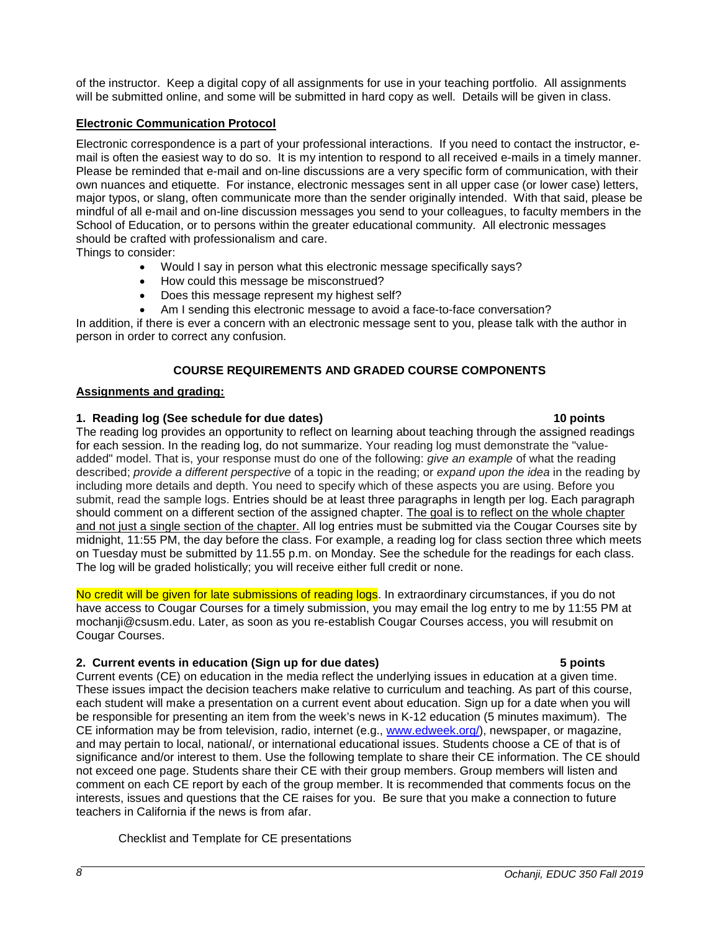of the instructor. Keep a digital copy of all assignments for use in your teaching portfolio. All assignments will be submitted online, and some will be submitted in hard copy as well. Details will be given in class.

## <span id="page-7-0"></span>**Electronic Communication Protocol**

Electronic correspondence is a part of your professional interactions. If you need to contact the instructor, email is often the easiest way to do so. It is my intention to respond to all received e-mails in a timely manner. Please be reminded that e-mail and on-line discussions are a very specific form of communication, with their own nuances and etiquette. For instance, electronic messages sent in all upper case (or lower case) letters, major typos, or slang, often communicate more than the sender originally intended. With that said, please be mindful of all e-mail and on-line discussion messages you send to your colleagues, to faculty members in the School of Education, or to persons within the greater educational community. All electronic messages should be crafted with professionalism and care.

Things to consider:

- Would I say in person what this electronic message specifically says?
- How could this message be misconstrued?
- Does this message represent my highest self?
- Am I sending this electronic message to avoid a face-to-face conversation?

In addition, if there is ever a concern with an electronic message sent to you, please talk with the author in person in order to correct any confusion.

# **COURSE REQUIREMENTS AND GRADED COURSE COMPONENTS**

## <span id="page-7-1"></span>**Assignments and grading:**

## **1. Reading log (See schedule for due dates) 10 points**

The reading log provides an opportunity to reflect on learning about teaching through the assigned readings for each session. In the reading log, do not summarize. Your reading log must demonstrate the "valueadded" model. That is, your response must do one of the following: *give an example* of what the reading described; *provide a different perspective* of a topic in the reading; or *expand upon the idea* in the reading by including more details and depth. You need to specify which of these aspects you are using. Before you submit, read the sample logs. Entries should be at least three paragraphs in length per log. Each paragraph should comment on a different section of the assigned chapter. The goal is to reflect on the whole chapter and not just a single section of the chapter. All log entries must be submitted via the Cougar Courses site by midnight, 11:55 PM, the day before the class. For example, a reading log for class section three which meets on Tuesday must be submitted by 11.55 p.m. on Monday. See the schedule for the readings for each class. The log will be graded holistically; you will receive either full credit or none.

No credit will be given for late submissions of reading logs. In extraordinary circumstances, if you do not have access to Cougar Courses for a timely submission, you may email the log entry to me by 11:55 PM at mochanji@csusm.edu. Later, as soon as you re-establish Cougar Courses access, you will resubmit on Cougar Courses.

# **2. Current events in education (Sign up for due dates) 5 points**

Current events (CE) on education in the media reflect the underlying issues in education at a given time. These issues impact the decision teachers make relative to curriculum and teaching. As part of this course, each student will make a presentation on a current event about education. Sign up for a date when you will be responsible for presenting an item from the week's news in K-12 education (5 minutes maximum). The CE information may be from television, radio, internet (e.g., [www.edweek.org/\)](http://www.edweek.org/), newspaper, or magazine, and may pertain to local, national/, or international educational issues. Students choose a CE of that is of significance and/or interest to them. Use the following template to share their CE information. The CE should not exceed one page. Students share their CE with their group members. Group members will listen and comment on each CE report by each of the group member. It is recommended that comments focus on the interests, issues and questions that the CE raises for you. Be sure that you make a connection to future teachers in California if the news is from afar.

Checklist and Template for CE presentations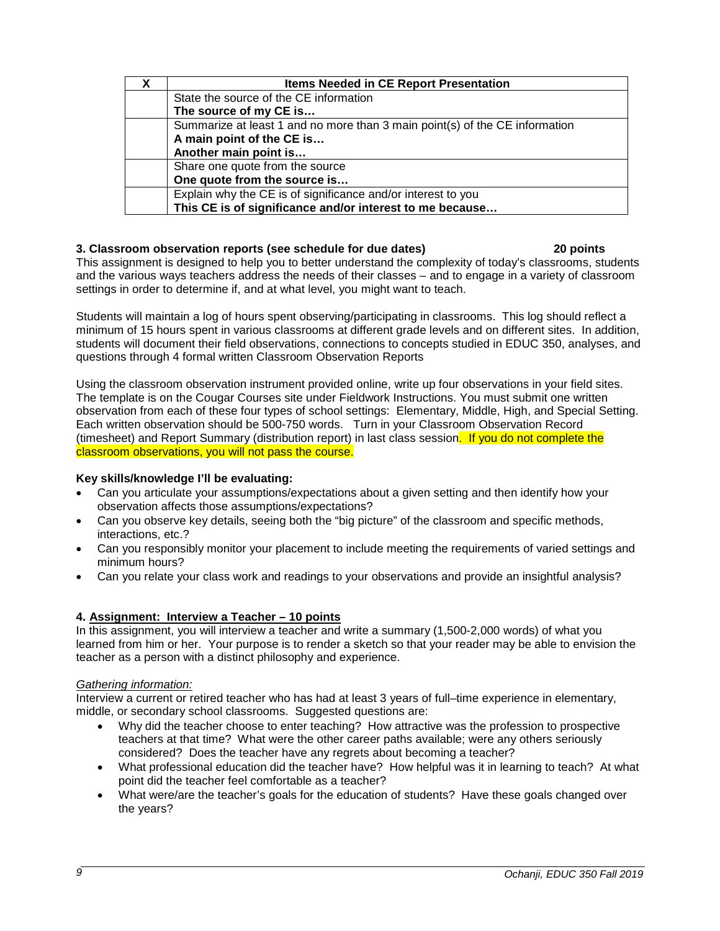| <b>Items Needed in CE Report Presentation</b>                               |  |  |
|-----------------------------------------------------------------------------|--|--|
| State the source of the CE information                                      |  |  |
| The source of my CE is                                                      |  |  |
| Summarize at least 1 and no more than 3 main point(s) of the CE information |  |  |
| A main point of the CE is                                                   |  |  |
| Another main point is                                                       |  |  |
| Share one quote from the source                                             |  |  |
| One quote from the source is                                                |  |  |
| Explain why the CE is of significance and/or interest to you                |  |  |
| This CE is of significance and/or interest to me because                    |  |  |

# **3. Classroom observation reports (see schedule for due dates) 20 points**

This assignment is designed to help you to better understand the complexity of today's classrooms, students and the various ways teachers address the needs of their classes – and to engage in a variety of classroom settings in order to determine if, and at what level, you might want to teach.

Students will maintain a log of hours spent observing/participating in classrooms. This log should reflect a minimum of 15 hours spent in various classrooms at different grade levels and on different sites. In addition, students will document their field observations, connections to concepts studied in EDUC 350, analyses, and questions through 4 formal written Classroom Observation Reports

Using the classroom observation instrument provided online, write up four observations in your field sites. The template is on the Cougar Courses site under Fieldwork Instructions. You must submit one written observation from each of these four types of school settings: Elementary, Middle, High, and Special Setting. Each written observation should be 500-750 words. Turn in your Classroom Observation Record (timesheet) and Report Summary (distribution report) in last class session. If you do not complete the classroom observations, you will not pass the course.

# **Key skills/knowledge I'll be evaluating:**

- Can you articulate your assumptions/expectations about a given setting and then identify how your observation affects those assumptions/expectations?
- Can you observe key details, seeing both the "big picture" of the classroom and specific methods, interactions, etc.?
- Can you responsibly monitor your placement to include meeting the requirements of varied settings and minimum hours?
- Can you relate your class work and readings to your observations and provide an insightful analysis?

# **4. Assignment: Interview a Teacher – 10 points**

In this assignment, you will interview a teacher and write a summary (1,500-2,000 words) of what you learned from him or her. Your purpose is to render a sketch so that your reader may be able to envision the teacher as a person with a distinct philosophy and experience.

#### *Gathering information:*

Interview a current or retired teacher who has had at least 3 years of full–time experience in elementary, middle, or secondary school classrooms. Suggested questions are:

- Why did the teacher choose to enter teaching? How attractive was the profession to prospective teachers at that time? What were the other career paths available; were any others seriously considered? Does the teacher have any regrets about becoming a teacher?
- What professional education did the teacher have? How helpful was it in learning to teach? At what point did the teacher feel comfortable as a teacher?
- What were/are the teacher's goals for the education of students? Have these goals changed over the years?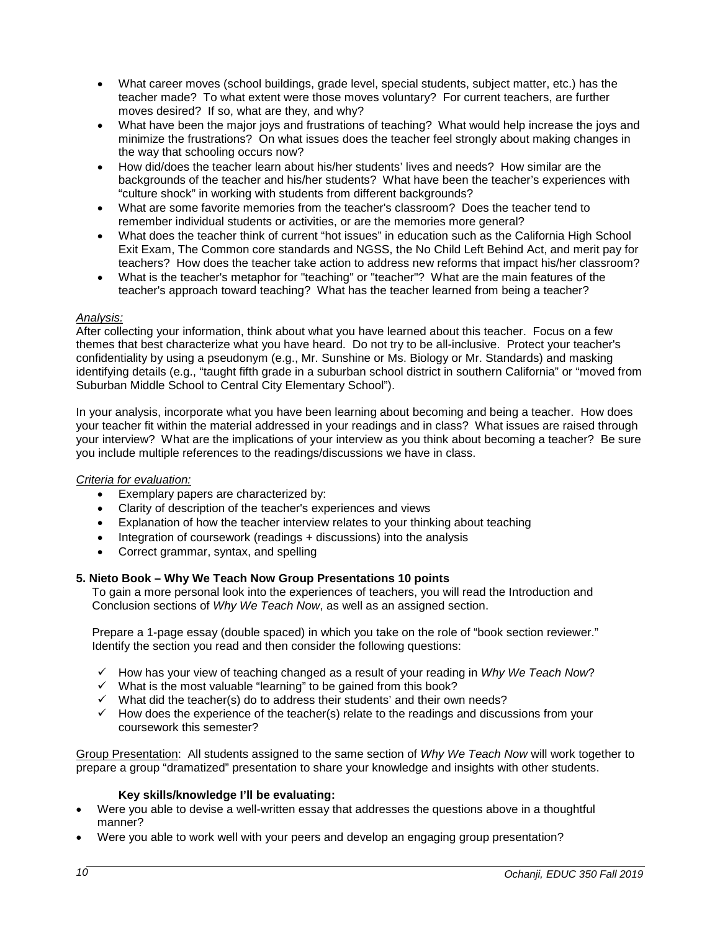- What career moves (school buildings, grade level, special students, subject matter, etc.) has the teacher made? To what extent were those moves voluntary? For current teachers, are further moves desired? If so, what are they, and why?
- What have been the major joys and frustrations of teaching? What would help increase the joys and minimize the frustrations? On what issues does the teacher feel strongly about making changes in the way that schooling occurs now?
- How did/does the teacher learn about his/her students' lives and needs? How similar are the backgrounds of the teacher and his/her students? What have been the teacher's experiences with "culture shock" in working with students from different backgrounds?
- What are some favorite memories from the teacher's classroom? Does the teacher tend to remember individual students or activities, or are the memories more general?
- What does the teacher think of current "hot issues" in education such as the California High School Exit Exam, The Common core standards and NGSS, the No Child Left Behind Act, and merit pay for teachers? How does the teacher take action to address new reforms that impact his/her classroom?
- What is the teacher's metaphor for "teaching" or "teacher"? What are the main features of the teacher's approach toward teaching? What has the teacher learned from being a teacher?

# *Analysis:*

After collecting your information, think about what you have learned about this teacher. Focus on a few themes that best characterize what you have heard. Do not try to be all-inclusive. Protect your teacher's confidentiality by using a pseudonym (e.g., Mr. Sunshine or Ms. Biology or Mr. Standards) and masking identifying details (e.g., "taught fifth grade in a suburban school district in southern California" or "moved from Suburban Middle School to Central City Elementary School").

In your analysis, incorporate what you have been learning about becoming and being a teacher. How does your teacher fit within the material addressed in your readings and in class? What issues are raised through your interview? What are the implications of your interview as you think about becoming a teacher? Be sure you include multiple references to the readings/discussions we have in class.

#### *Criteria for evaluation:*

- Exemplary papers are characterized by:
- Clarity of description of the teacher's experiences and views
- Explanation of how the teacher interview relates to your thinking about teaching
- Integration of coursework (readings + discussions) into the analysis
- Correct grammar, syntax, and spelling

# **5. Nieto Book – Why We Teach Now Group Presentations 10 points**

To gain a more personal look into the experiences of teachers, you will read the Introduction and Conclusion sections of *Why We Teach Now*, as well as an assigned section.

Prepare a 1-page essay (double spaced) in which you take on the role of "book section reviewer." Identify the section you read and then consider the following questions:

- How has your view of teaching changed as a result of your reading in *Why We Teach Now*?
- $\checkmark$  What is the most valuable "learning" to be gained from this book?
- $\checkmark$  What did the teacher(s) do to address their students' and their own needs?
- $\checkmark$  How does the experience of the teacher(s) relate to the readings and discussions from your coursework this semester?

Group Presentation: All students assigned to the same section of *Why We Teach Now* will work together to prepare a group "dramatized" presentation to share your knowledge and insights with other students.

#### **Key skills/knowledge I'll be evaluating:**

- Were you able to devise a well-written essay that addresses the questions above in a thoughtful manner?
- Were you able to work well with your peers and develop an engaging group presentation?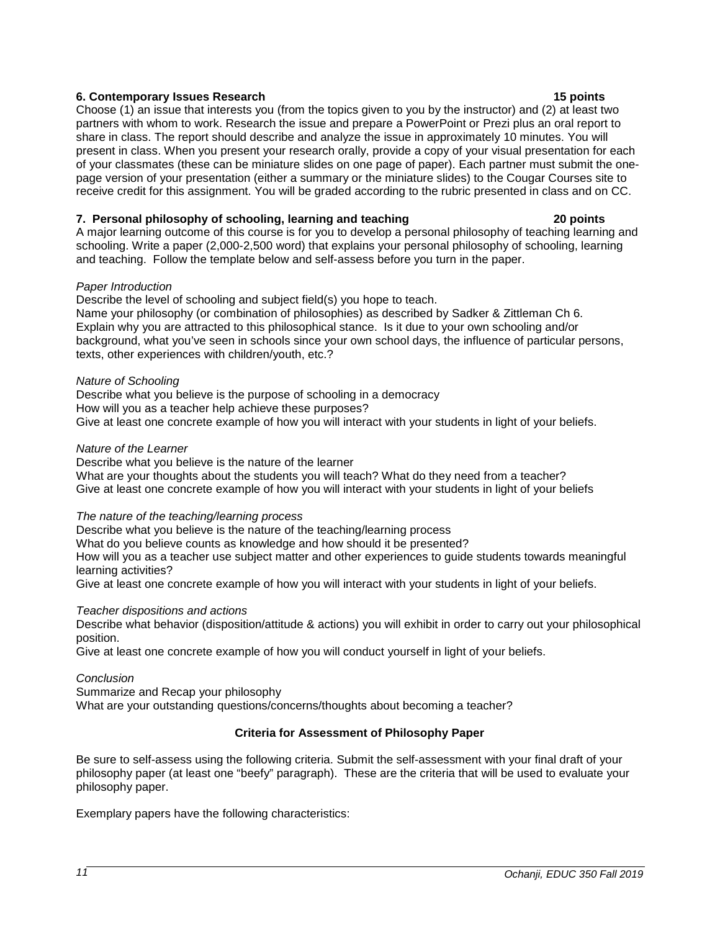# **6. Contemporary Issues Research 15 points**

Choose (1) an issue that interests you (from the topics given to you by the instructor) and (2) at least two partners with whom to work. Research the issue and prepare a PowerPoint or Prezi plus an oral report to share in class. The report should describe and analyze the issue in approximately 10 minutes. You will present in class. When you present your research orally, provide a copy of your visual presentation for each of your classmates (these can be miniature slides on one page of paper). Each partner must submit the onepage version of your presentation (either a summary or the miniature slides) to the Cougar Courses site to receive credit for this assignment. You will be graded according to the rubric presented in class and on CC.

# **7. Personal philosophy of schooling, learning and teaching 20 points**

A major learning outcome of this course is for you to develop a personal philosophy of teaching learning and schooling. Write a paper (2,000-2,500 word) that explains your personal philosophy of schooling, learning and teaching. Follow the template below and self-assess before you turn in the paper.

# *Paper Introduction*

Describe the level of schooling and subject field(s) you hope to teach.

Name your philosophy (or combination of philosophies) as described by Sadker & Zittleman Ch 6. Explain why you are attracted to this philosophical stance. Is it due to your own schooling and/or background, what you've seen in schools since your own school days, the influence of particular persons, texts, other experiences with children/youth, etc.?

# *Nature of Schooling*

Describe what you believe is the purpose of schooling in a democracy How will you as a teacher help achieve these purposes? Give at least one concrete example of how you will interact with your students in light of your beliefs.

## *Nature of the Learner*

Describe what you believe is the nature of the learner

What are your thoughts about the students you will teach? What do they need from a teacher? Give at least one concrete example of how you will interact with your students in light of your beliefs

# *The nature of the teaching/learning process*

Describe what you believe is the nature of the teaching/learning process

What do you believe counts as knowledge and how should it be presented?

How will you as a teacher use subject matter and other experiences to guide students towards meaningful learning activities?

Give at least one concrete example of how you will interact with your students in light of your beliefs.

# *Teacher dispositions and actions*

Describe what behavior (disposition/attitude & actions) you will exhibit in order to carry out your philosophical position.

Give at least one concrete example of how you will conduct yourself in light of your beliefs.

# *Conclusion*

Summarize and Recap your philosophy

What are your outstanding questions/concerns/thoughts about becoming a teacher?

# **Criteria for Assessment of Philosophy Paper**

Be sure to self-assess using the following criteria. Submit the self-assessment with your final draft of your philosophy paper (at least one "beefy" paragraph). These are the criteria that will be used to evaluate your philosophy paper.

Exemplary papers have the following characteristics: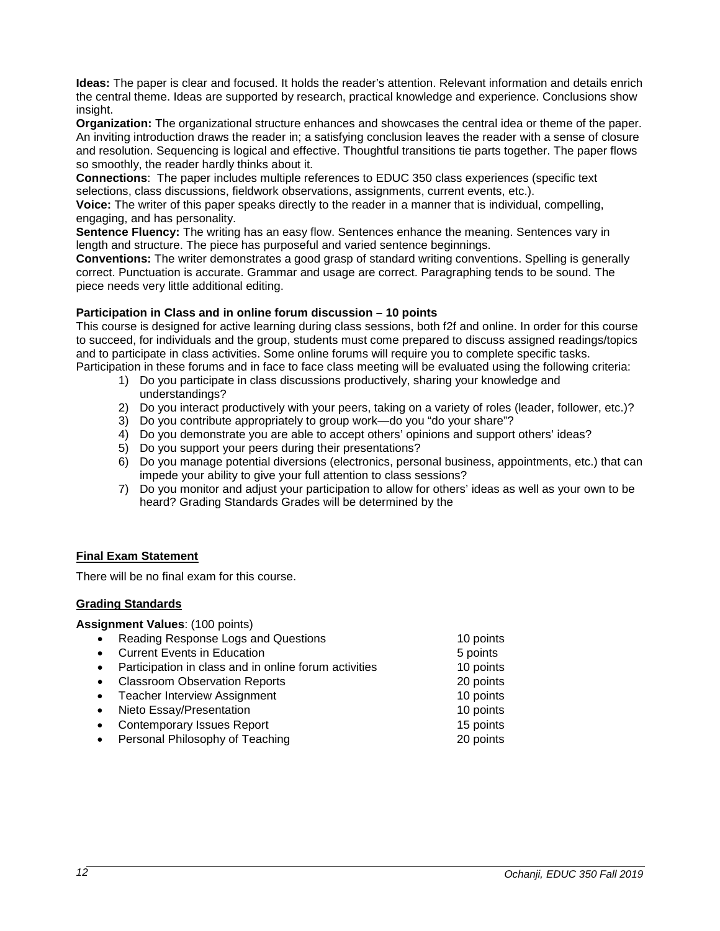**Ideas:** The paper is clear and focused. It holds the reader's attention. Relevant information and details enrich the central theme. Ideas are supported by research, practical knowledge and experience. Conclusions show insight.

**Organization:** The organizational structure enhances and showcases the central idea or theme of the paper. An inviting introduction draws the reader in; a satisfying conclusion leaves the reader with a sense of closure and resolution. Sequencing is logical and effective. Thoughtful transitions tie parts together. The paper flows so smoothly, the reader hardly thinks about it.

**Connections**: The paper includes multiple references to EDUC 350 class experiences (specific text selections, class discussions, fieldwork observations, assignments, current events, etc.).

**Voice:** The writer of this paper speaks directly to the reader in a manner that is individual, compelling, engaging, and has personality.

**Sentence Fluency:** The writing has an easy flow. Sentences enhance the meaning. Sentences vary in length and structure. The piece has purposeful and varied sentence beginnings.

**Conventions:** The writer demonstrates a good grasp of standard writing conventions. Spelling is generally correct. Punctuation is accurate. Grammar and usage are correct. Paragraphing tends to be sound. The piece needs very little additional editing.

## **Participation in Class and in online forum discussion – 10 points**

This course is designed for active learning during class sessions, both f2f and online. In order for this course to succeed, for individuals and the group, students must come prepared to discuss assigned readings/topics and to participate in class activities. Some online forums will require you to complete specific tasks.

- Participation in these forums and in face to face class meeting will be evaluated using the following criteria: 1) Do you participate in class discussions productively, sharing your knowledge and understandings?
	- 2) Do you interact productively with your peers, taking on a variety of roles (leader, follower, etc.)?
	- 3) Do you contribute appropriately to group work—do you "do your share"?
	- 4) Do you demonstrate you are able to accept others' opinions and support others' ideas?
	- 5) Do you support your peers during their presentations?
	- 6) Do you manage potential diversions (electronics, personal business, appointments, etc.) that can impede your ability to give your full attention to class sessions?
	- 7) Do you monitor and adjust your participation to allow for others' ideas as well as your own to be heard? Grading Standards Grades will be determined by the

# <span id="page-11-0"></span>**Final Exam Statement**

There will be no final exam for this course.

#### <span id="page-11-1"></span>**Grading Standards**

**Assignment Values**: (100 points)

| $\bullet$ | Reading Response Logs and Questions                   | 10 points |
|-----------|-------------------------------------------------------|-----------|
|           | <b>Current Events in Education</b>                    | 5 points  |
| $\bullet$ | Participation in class and in online forum activities | 10 points |
|           | <b>Classroom Observation Reports</b>                  | 20 points |
| $\bullet$ | <b>Teacher Interview Assignment</b>                   | 10 points |
| $\bullet$ | Nieto Essay/Presentation                              | 10 points |
| $\bullet$ | <b>Contemporary Issues Report</b>                     | 15 points |
|           | Personal Philosophy of Teaching                       | 20 points |
|           |                                                       |           |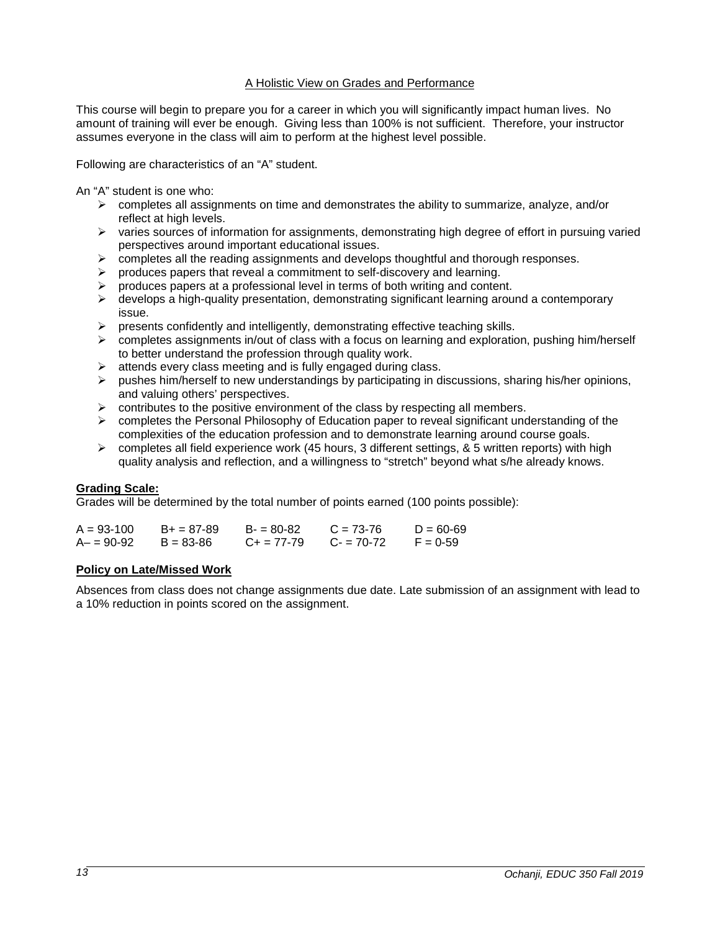## A Holistic View on Grades and Performance

This course will begin to prepare you for a career in which you will significantly impact human lives. No amount of training will ever be enough. Giving less than 100% is not sufficient. Therefore, your instructor assumes everyone in the class will aim to perform at the highest level possible.

Following are characteristics of an "A" student.

An "A" student is one who:

- $\triangleright$  completes all assignments on time and demonstrates the ability to summarize, analyze, and/or reflect at high levels.
- $\triangleright$  varies sources of information for assignments, demonstrating high degree of effort in pursuing varied perspectives around important educational issues.
- $\triangleright$  completes all the reading assignments and develops thoughtful and thorough responses.
- produces papers that reveal a commitment to self-discovery and learning.
- produces papers at a professional level in terms of both writing and content.
- $\triangleright$  develops a high-quality presentation, demonstrating significant learning around a contemporary issue.
- $\triangleright$  presents confidently and intelligently, demonstrating effective teaching skills.
- $\triangleright$  completes assignments in/out of class with a focus on learning and exploration, pushing him/herself to better understand the profession through quality work.
- $\triangleright$  attends every class meeting and is fully engaged during class.
- $\triangleright$  pushes him/herself to new understandings by participating in discussions, sharing his/her opinions, and valuing others' perspectives.
- $\triangleright$  contributes to the positive environment of the class by respecting all members.
- $\triangleright$  completes the Personal Philosophy of Education paper to reveal significant understanding of the complexities of the education profession and to demonstrate learning around course goals.
- $\triangleright$  completes all field experience work (45 hours, 3 different settings, & 5 written reports) with high quality analysis and reflection, and a willingness to "stretch" beyond what s/he already knows.

#### **Grading Scale:**

Grades will be determined by the total number of points earned (100 points possible):

| $A = 93 - 100$ | $B+ = 87-89$  | $B = 80-82$         | $C = 73-76$ | $D = 60 - 69$ |
|----------------|---------------|---------------------|-------------|---------------|
| A- = 90-92     | $B = 83 - 86$ | $C_{\pm} = 77 - 79$ | $C = 70-72$ | $F = 0.59$    |

# <span id="page-12-0"></span>**Policy on Late/Missed Work**

Absences from class does not change assignments due date. Late submission of an assignment with lead to a 10% reduction in points scored on the assignment.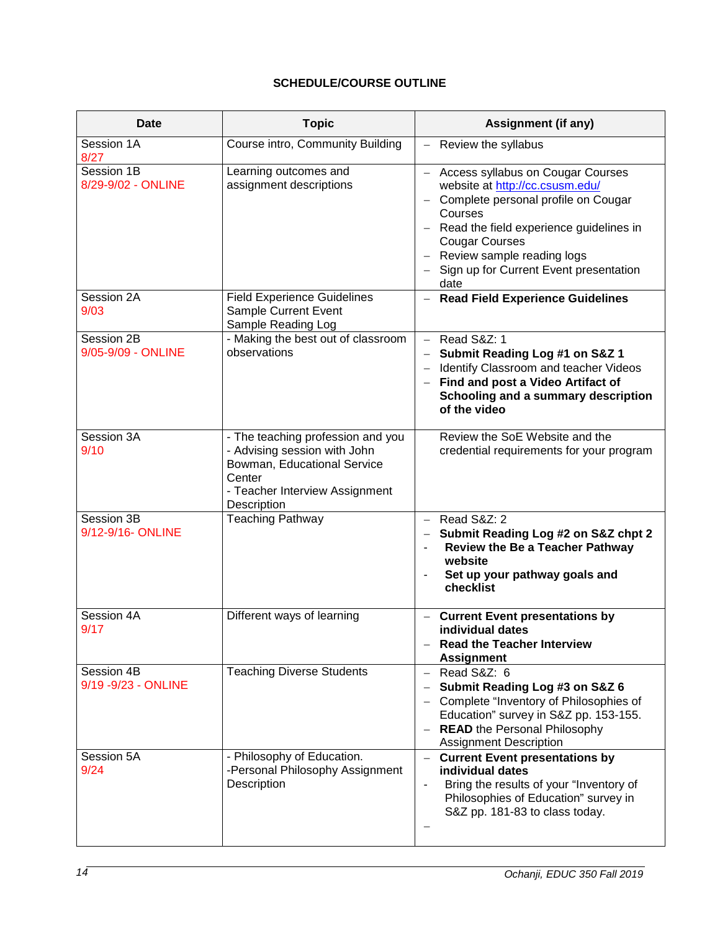# **SCHEDULE/COURSE OUTLINE**

<span id="page-13-0"></span>

| Date                               | <b>Topic</b>                                                                                                                                                | <b>Assignment (if any)</b>                                                                                                                                                                                                                                                           |
|------------------------------------|-------------------------------------------------------------------------------------------------------------------------------------------------------------|--------------------------------------------------------------------------------------------------------------------------------------------------------------------------------------------------------------------------------------------------------------------------------------|
| Session 1A<br>8/27                 | Course intro, Community Building                                                                                                                            | Review the syllabus                                                                                                                                                                                                                                                                  |
| Session 1B<br>8/29-9/02 - ONLINE   | Learning outcomes and<br>assignment descriptions                                                                                                            | - Access syllabus on Cougar Courses<br>website at http://cc.csusm.edu/<br>- Complete personal profile on Cougar<br>Courses<br>- Read the field experience guidelines in<br><b>Cougar Courses</b><br>- Review sample reading logs<br>- Sign up for Current Event presentation<br>date |
| Session 2A<br>9/03                 | <b>Field Experience Guidelines</b><br>Sample Current Event<br>Sample Reading Log                                                                            | - Read Field Experience Guidelines                                                                                                                                                                                                                                                   |
| Session 2B<br>9/05-9/09 - ONLINE   | - Making the best out of classroom<br>observations                                                                                                          | $-$ Read S&Z: 1<br>- Submit Reading Log #1 on S&Z 1<br>- Identify Classroom and teacher Videos<br>- Find and post a Video Artifact of<br>Schooling and a summary description<br>of the video                                                                                         |
| Session 3A<br>9/10                 | - The teaching profession and you<br>- Advising session with John<br>Bowman, Educational Service<br>Center<br>- Teacher Interview Assignment<br>Description | Review the SoE Website and the<br>credential requirements for your program                                                                                                                                                                                                           |
| Session 3B<br>9/12-9/16- ONLINE    | <b>Teaching Pathway</b>                                                                                                                                     | $-$ Read S&Z: 2<br>- Submit Reading Log #2 on S&Z chpt 2<br>Review the Be a Teacher Pathway<br>$\overline{\phantom{a}}$<br>website<br>Set up your pathway goals and<br>$\overline{\phantom{0}}$<br>checklist                                                                         |
| Session 4A<br>9/17                 | Different ways of learning                                                                                                                                  | <b>Current Event presentations by</b><br>individual dates<br><b>Read the Teacher Interview</b><br><b>Assignment</b>                                                                                                                                                                  |
| Session 4B<br>9/19 - 9/23 - ONLINE | <b>Teaching Diverse Students</b>                                                                                                                            | $-$ Read S&Z: 6<br>Submit Reading Log #3 on S&Z 6<br>- Complete "Inventory of Philosophies of<br>Education" survey in S&Z pp. 153-155.<br>- READ the Personal Philosophy<br><b>Assignment Description</b>                                                                            |
| Session 5A<br>9/24                 | - Philosophy of Education.<br>-Personal Philosophy Assignment<br>Description                                                                                | - Current Event presentations by<br>individual dates<br>Bring the results of your "Inventory of<br>Philosophies of Education" survey in<br>S&Z pp. 181-83 to class today.                                                                                                            |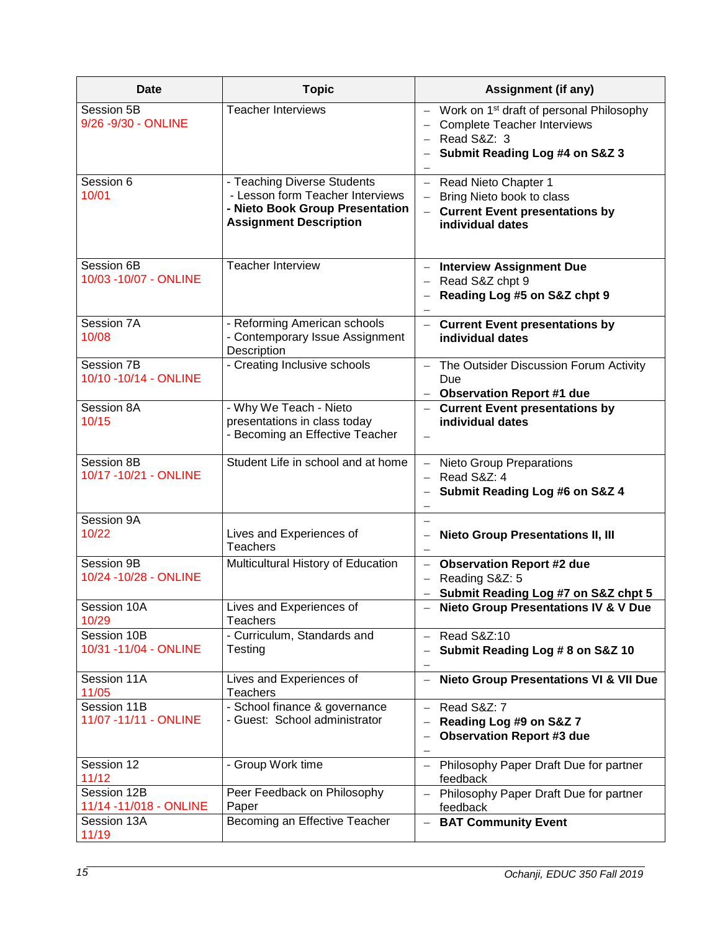| Date                                   | <b>Topic</b>                                                                                                                        | <b>Assignment (if any)</b>                                                                                                                        |
|----------------------------------------|-------------------------------------------------------------------------------------------------------------------------------------|---------------------------------------------------------------------------------------------------------------------------------------------------|
| Session 5B<br>9/26 - 9/30 - ONLINE     | <b>Teacher Interviews</b>                                                                                                           | - Work on 1 <sup>st</sup> draft of personal Philosophy<br>- Complete Teacher Interviews<br>$-$ Read S&Z: 3<br>Submit Reading Log #4 on S&Z 3<br>— |
| Session 6<br>10/01                     | - Teaching Diverse Students<br>- Lesson form Teacher Interviews<br>- Nieto Book Group Presentation<br><b>Assignment Description</b> | - Read Nieto Chapter 1<br>- Bring Nieto book to class<br>- Current Event presentations by<br>individual dates                                     |
| Session 6B<br>10/03 - 10/07 - ONLINE   | <b>Teacher Interview</b>                                                                                                            | - Interview Assignment Due<br>$-$ Read S&Z chpt 9<br>- Reading Log #5 on S&Z chpt 9<br>$\overline{\phantom{0}}$                                   |
| Session 7A<br>10/08                    | - Reforming American schools<br>- Contemporary Issue Assignment<br>Description                                                      | - Current Event presentations by<br>individual dates                                                                                              |
| Session 7B<br>10/10 - 10/14 - ONLINE   | - Creating Inclusive schools                                                                                                        | - The Outsider Discussion Forum Activity<br>Due<br>- Observation Report #1 due                                                                    |
| Session 8A<br>10/15                    | - Why We Teach - Nieto<br>presentations in class today<br>- Becoming an Effective Teacher                                           | - Current Event presentations by<br>individual dates<br>$\overline{\phantom{0}}$                                                                  |
| Session 8B<br>10/17 - 10/21 - ONLINE   | Student Life in school and at home                                                                                                  | - Nieto Group Preparations<br>$-$ Read S&Z: 4<br>- Submit Reading Log #6 on S&Z 4<br>-                                                            |
| Session 9A<br>10/22                    | Lives and Experiences of<br><b>Teachers</b>                                                                                         | $\qquad \qquad -$<br><b>Nieto Group Presentations II, III</b><br>-                                                                                |
| Session 9B<br>10/24 - 10/28 - ONLINE   | Multicultural History of Education                                                                                                  | - Observation Report #2 due<br>Reading S&Z: 5<br>$\overline{\phantom{0}}$<br>- Submit Reading Log #7 on S&Z chpt 5                                |
| Session 10A<br>10/29                   | Lives and Experiences of<br><b>Teachers</b>                                                                                         | - Nieto Group Presentations IV & V Due                                                                                                            |
| Session 10B<br>10/31 -11/04 - ONLINE   | - Curriculum, Standards and<br>Testing                                                                                              | $-$ Read S&Z:10<br>Submit Reading Log # 8 on S&Z 10<br>$\qquad \qquad -$                                                                          |
| Session 11A<br>11/05                   | Lives and Experiences of<br><b>Teachers</b>                                                                                         | - Nieto Group Presentations VI & VII Due                                                                                                          |
| Session 11B<br>11/07 - 11/11 - ONLINE  | - School finance & governance<br>- Guest: School administrator                                                                      | $-$ Read S&Z: 7<br>Reading Log #9 on S&Z 7<br>$\overline{\phantom{0}}$<br><b>Observation Report #3 due</b><br>-                                   |
| Session 12<br>11/12                    | - Group Work time                                                                                                                   | Philosophy Paper Draft Due for partner<br>$-$<br>feedback                                                                                         |
| Session 12B<br>11/14 - 11/018 - ONLINE | Peer Feedback on Philosophy<br>Paper                                                                                                | Philosophy Paper Draft Due for partner<br>feedback                                                                                                |
| Session 13A<br>11/19                   | Becoming an Effective Teacher                                                                                                       | <b>BAT Community Event</b><br>$\qquad \qquad -$                                                                                                   |